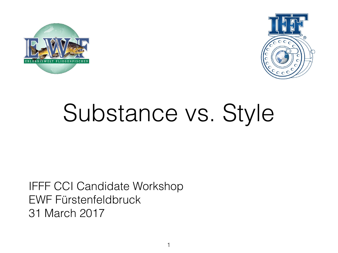



# Substance vs. Style

#### IFFF CCI Candidate Workshop EWF Fürstenfeldbruck 31 March 2017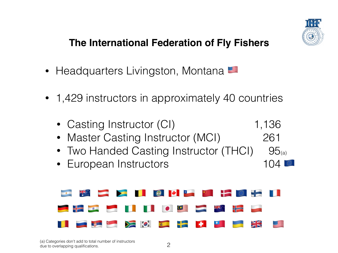

#### **The International Federation of Fly Fishers**

- Headquarters Livingston, Montana
- 1,429 instructors in approximately 40 countries
	- Casting Instructor (CI) 1,136
	- Master Casting Instructor (MCI) 261
	- Two Handed Casting Instructor (THCI) 95(a)
	- European Instructors 104

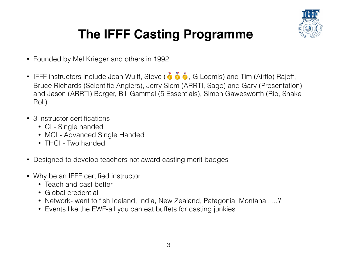

#### **The IFFF Casting Programme**

- Founded by Mel Krieger and others in 1992
- IFFF instructors include Joan Wulff, Steve ( $\bullet$   $\bullet$   $\bullet$ , G Loomis) and Tim (Airflo) Rajeff, Bruce Richards (Scientific Anglers), Jerry Siem (ARRTI, Sage) and Gary (Presentation) and Jason (ARRTI) Borger, Bill Gammel (5 Essentials), Simon Gawesworth (Rio, Snake Roll)
- 3 instructor certifications
	- CI Single handed
	- MCI Advanced Single Handed
	- THCI Two handed
- Designed to develop teachers not award casting merit badges
- Why be an IFFF certified instructor
	- Teach and cast better
	- Global credential
	- Network- want to fish Iceland, India, New Zealand, Patagonia, Montana .....?
	- Events like the EWF-all you can eat buffets for casting junkies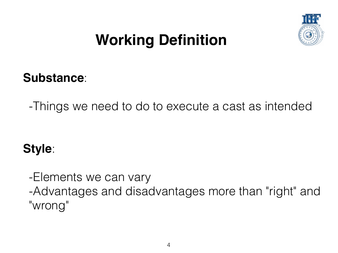

### **Working Definition**

#### **Substance**:

-Things we need to do to execute a cast as intended

#### **Style**:

-Elements we can vary -Advantages and disadvantages more than "right" and "wrong"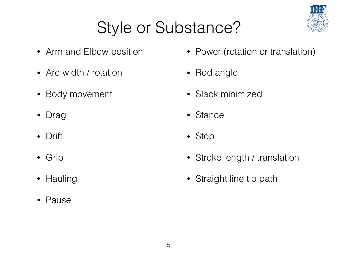## Style or Substance?

- Arm and Elbow position
- Arc width / rotation
- Body movement
- Drag
- Drift
- Grip
- Hauling
- Pause
- Power (rotation or translation)
- Rod angle
- Slack minimized
- Stance
- Stop
- Stroke length / translation
- Straight line tip path

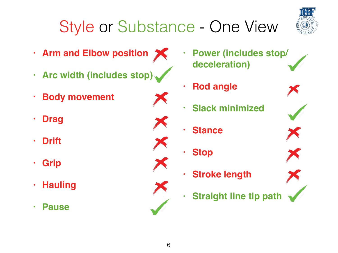# Style or Substance - One View

6



- **• Arm and Elbow position**
- **• Arc width (includes stop)**
- **• Body movement**
- **• Drag**
- **• Drift**
- **• Grip**
- **• Hauling**
- **• Pause**
- **• Power (includes stop/ deceleration)**
- **• Rod angle**
- **• Slack minimized**
- **• Stance**
- **• Stop**
- **• Stroke length**
- **• Straight line tip path**







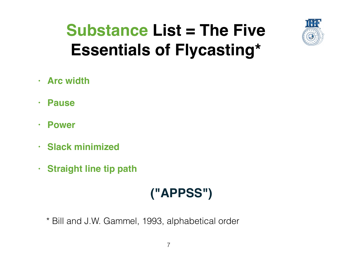

### **Substance List = The Five Essentials of Flycasting\***

- **• Arc width**
- **• Pause**
- **• Power**
- **• Slack minimized**
- **• Straight line tip path**

#### **("APPSS")**

\* Bill and J.W. Gammel, 1993, alphabetical order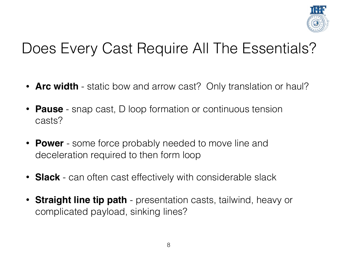

### Does Every Cast Require All The Essentials?

- **Arc width** static bow and arrow cast? Only translation or haul?
- **Pause** snap cast, D loop formation or continuous tension casts?
- **Power** some force probably needed to move line and deceleration required to then form loop
- **Slack** can often cast effectively with considerable slack
- **Straight line tip path** presentation casts, tailwind, heavy or complicated payload, sinking lines?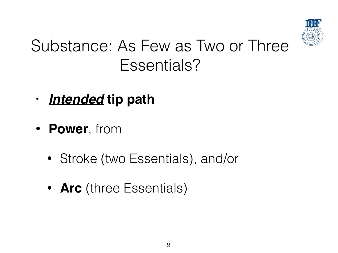

### Substance: As Few as Two or Three Essentials?

- **•** *Intended* **tip path**
- **Power**, from
	- Stroke (two Essentials), and/or
	- **Arc** (three Essentials)